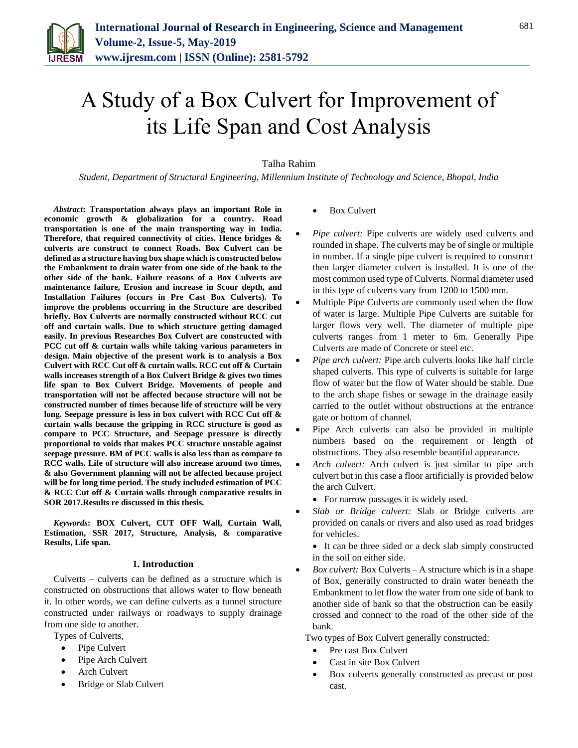

# A Study of a Box Culvert for Improvement of its Life Span and Cost Analysis

# Talha Rahim

*Student, Department of Structural Engineering, Millennium Institute of Technology and Science, Bhopal, India*

*Abstract***: Transportation always plays an important Role in economic growth & globalization for a country. Road transportation is one of the main transporting way in India. Therefore, that required connectivity of cities. Hence bridges & culverts are construct to connect Roads. Box Culvert can be defined as a structure having box shape which is constructed below the Embankment to drain water from one side of the bank to the other side of the bank. Failure reasons of a Box Culverts are maintenance failure, Erosion and increase in Scour depth, and Installation Failures (occurs in Pre Cast Box Culverts). To improve the problems occurring in the Structure are described briefly. Box Culverts are normally constructed without RCC cut off and curtain walls. Due to which structure getting damaged easily. In previous Researches Box Culvert are constructed with PCC cut off & curtain walls while taking various parameters in design. Main objective of the present work is to analysis a Box Culvert with RCC Cut off & curtain walls. RCC cut off & Curtain walls increases strength of a Box Culvert Bridge & gives two times life span to Box Culvert Bridge. Movements of people and transportation will not be affected because structure will not be constructed number of times because life of structure will be very long. Seepage pressure is less in box culvert with RCC Cut off & curtain walls because the gripping in RCC structure is good as compare to PCC Structure, and Seepage pressure is directly proportional to voids that makes PCC structure unstable against seepage pressure. BM of PCC walls is also less than as compare to RCC walls. Life of structure will also increase around two times, & also Government planning will not be affected because project will be for long time period. The study included estimation of PCC & RCC Cut off & Curtain walls through comparative results in SOR 2017.Results re discussed in this thesis.**

*Keywords***: BOX Culvert, CUT OFF Wall, Curtain Wall, Estimation, SSR 2017, Structure, Analysis, & comparative Results, Life span.**

### **1. Introduction**

Culverts – culverts can be defined as a structure which is constructed on obstructions that allows water to flow beneath it. In other words, we can define culverts as a tunnel structure constructed under railways or roadways to supply drainage from one side to another.

- Types of Culverts,
	- Pipe Culvert
	- Pipe Arch Culvert
	- Arch Culvert
	- Bridge or Slab Culvert
- Box Culvert
- *Pipe culvert:* Pipe culverts are widely used culverts and rounded in shape. The culverts may be of single or multiple in number. If a single pipe culvert is required to construct then larger diameter culvert is installed. It is one of the most common used type of Culverts. Normal diameter used in this type of culverts vary from 1200 to 1500 mm.
- Multiple Pipe Culverts are commonly used when the flow of water is large. Multiple Pipe Culverts are suitable for larger flows very well. The diameter of multiple pipe culverts ranges from 1 meter to 6m. Generally Pipe Culverts are made of Concrete or steel etc.
- *Pipe arch culvert:* Pipe arch culverts looks like half circle shaped culverts. This type of culverts is suitable for large flow of water but the flow of Water should be stable. Due to the arch shape fishes or sewage in the drainage easily carried to the outlet without obstructions at the entrance gate or bottom of channel.
- Pipe Arch culverts can also be provided in multiple numbers based on the requirement or length of obstructions. They also resemble beautiful appearance.
- *Arch culvert:* Arch culvert is just similar to pipe arch culvert but in this case a floor artificially is provided below the arch Culvert.
	- For narrow passages it is widely used.
- *Slab or Bridge culvert:* Slab or Bridge culverts are provided on canals or rivers and also used as road bridges for vehicles.
	- It can be three sided or a deck slab simply constructed in the soil on either side.
- *Box culvert:* Box Culverts A structure which is in a shape of Box, generally constructed to drain water beneath the Embankment to let flow the water from one side of bank to another side of bank so that the obstruction can be easily crossed and connect to the road of the other side of the bank.
- Two types of Box Culvert generally constructed:
	- Pre cast Box Culvert
	- Cast in site Box Culvert
	- Box culverts generally constructed as precast or post cast.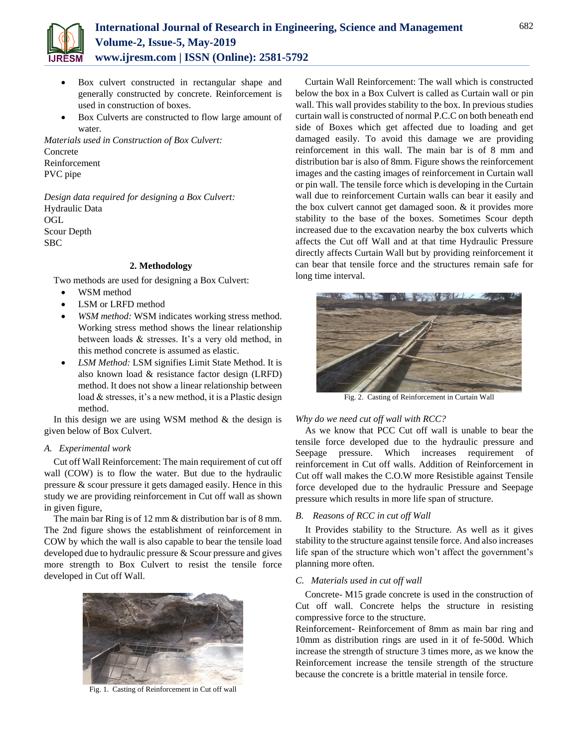

- Box culvert constructed in rectangular shape and generally constructed by concrete. Reinforcement is used in construction of boxes.
- Box Culverts are constructed to flow large amount of water.

*Materials used in Construction of Box Culvert:*  Concrete Reinforcement PVC pipe

*Design data required for designing a Box Culvert:* Hydraulic Data OGL Scour Depth SBC

## **2. Methodology**

Two methods are used for designing a Box Culvert:

- WSM method
- LSM or LRFD method
- *WSM method:* WSM indicates working stress method. Working stress method shows the linear relationship between loads & stresses. It's a very old method, in this method concrete is assumed as elastic.
- *LSM Method:* LSM signifies Limit State Method. It is also known load & resistance factor design (LRFD) method. It does not show a linear relationship between load & stresses, it's a new method, it is a Plastic design method.

In this design we are using WSM method  $&$  the design is given below of Box Culvert.

## *A. Experimental work*

Cut off Wall Reinforcement: The main requirement of cut off wall (COW) is to flow the water. But due to the hydraulic pressure & scour pressure it gets damaged easily. Hence in this study we are providing reinforcement in Cut off wall as shown in given figure,

The main bar Ring is of 12 mm & distribution bar is of 8 mm. The 2nd figure shows the establishment of reinforcement in COW by which the wall is also capable to bear the tensile load developed due to hydraulic pressure & Scour pressure and gives more strength to Box Culvert to resist the tensile force developed in Cut off Wall.



Fig. 1. Casting of Reinforcement in Cut off wall

Curtain Wall Reinforcement: The wall which is constructed below the box in a Box Culvert is called as Curtain wall or pin wall. This wall provides stability to the box. In previous studies curtain wall is constructed of normal P.C.C on both beneath end side of Boxes which get affected due to loading and get damaged easily. To avoid this damage we are providing reinforcement in this wall. The main bar is of 8 mm and distribution bar is also of 8mm. Figure shows the reinforcement images and the casting images of reinforcement in Curtain wall or pin wall. The tensile force which is developing in the Curtain wall due to reinforcement Curtain walls can bear it easily and the box culvert cannot get damaged soon. & it provides more stability to the base of the boxes. Sometimes Scour depth increased due to the excavation nearby the box culverts which affects the Cut off Wall and at that time Hydraulic Pressure directly affects Curtain Wall but by providing reinforcement it can bear that tensile force and the structures remain safe for long time interval.



Fig. 2. Casting of Reinforcement in Curtain Wall

## *Why do we need cut off wall with RCC?*

As we know that PCC Cut off wall is unable to bear the tensile force developed due to the hydraulic pressure and Seepage pressure. Which increases requirement of reinforcement in Cut off walls. Addition of Reinforcement in Cut off wall makes the C.O.W more Resistible against Tensile force developed due to the hydraulic Pressure and Seepage pressure which results in more life span of structure.

#### *B. Reasons of RCC in cut off Wall*

It Provides stability to the Structure. As well as it gives stability to the structure against tensile force. And also increases life span of the structure which won't affect the government's planning more often.

## *C. Materials used in cut off wall*

Concrete- M15 grade concrete is used in the construction of Cut off wall. Concrete helps the structure in resisting compressive force to the structure.

Reinforcement- Reinforcement of 8mm as main bar ring and 10mm as distribution rings are used in it of fe-500d. Which increase the strength of structure 3 times more, as we know the Reinforcement increase the tensile strength of the structure because the concrete is a brittle material in tensile force.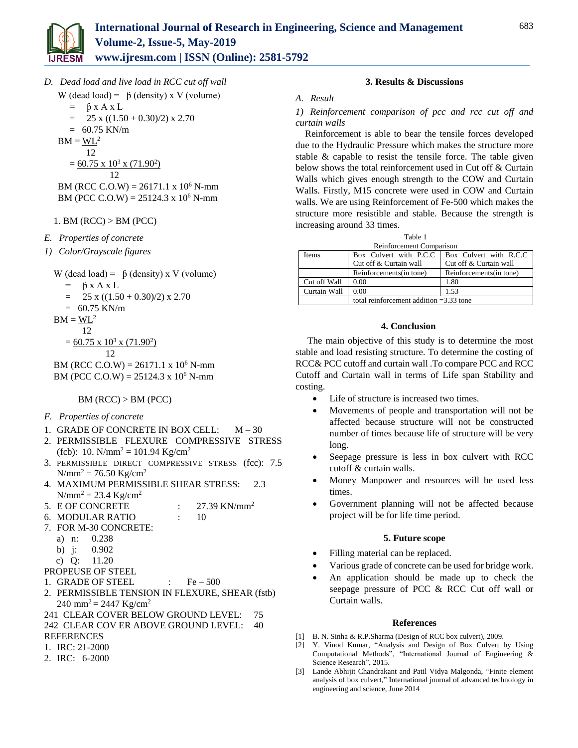

*D. Dead load and live load in RCC cut off wall* W (dead load) =  $\beta$  (density) x V (volume)

$$
= \beta x A x L
$$

$$
= 25 \times ((1.50 + 0.30)/2) \times 2.70
$$

$$
= 60.75 \text{ KN/m}
$$

$$
BM = \underline{WL}^2
$$

 12  $= 60.75 \times 10^3 \times (71.90^2)$ 

$$
12\quad
$$

BM (RCC C.O.W) =  $26171.1 \times 10^6$  N-mm BM (PCC C.O.W) =  $25124.3 \times 10^6$  N-mm

# 1. BM (RCC) > BM (PCC)

- *E. Properties of concrete*
- *1) Color/Grayscale figures*

W (dead load) =  $\beta$  (density) x V (volume)

 $=$   $\beta$  x A x L

$$
= 25 \times ((1.50 + 0.30)/2) \times 2.70
$$

$$
= 60.75 \text{ KN/m}
$$

$$
BM = \underline{WL}^2
$$

 12  $= 60.75 \times 10^3 \times (71.90^2)$ 12

BM (RCC C.O.W) =  $26171.1 \times 10^6$  N-mm BM (PCC C.O.W) =  $25124.3 \times 10^6$  N-mm

# $BM (RCC) > BM (PCC)$

# *F. Properties of concrete*

- 1. GRADE OF CONCRETE IN BOX CELL:  $M-30$
- 2. PERMISSIBLE FLEXURE COMPRESSIVE STRESS (fcb): 10. N/mm<sup>2</sup> = 101.94 Kg/cm<sup>2</sup>
- 3. PERMISSIBLE DIRECT COMPRESSIVE STRESS (fcc): 7.5  $N/mm^2 = 76.50$  Kg/cm<sup>2</sup>
- 4. MAXIMUM PERMISSIBLE SHEAR STRESS: 2.3  $N/mm^2 = 23.4 Kg/cm^2$
- 5. E OF CONCRETE : 27.39 KN/mm<sup>2</sup>
- 6. MODULAR RATIO : 10
- 7. FOR M-30 CONCRETE:
	- a) n: 0.238
	- b) j: 0.902
	- c) Q: 11.20
- PROPEUSE OF STEEL
- 1. GRADE OF STEEL  $\qquad \qquad : \qquad$  Fe 500
- 2. PERMISSIBLE TENSION IN FLEXURE, SHEAR (fstb)  $240 \text{ mm}^2 = 2447 \text{ Kg/cm}^2$
- 241 CLEAR COVER BELOW GROUND LEVEL: 75 242 CLEAR COV ER ABOVE GROUND LEVEL: 40
- REFERENCES
- 1. IRC: 21-2000
- 2. IRC: 6-2000

# **3. Results & Discussions**

# *A. Result*

# *1) Reinforcement comparison of pcc and rcc cut off and curtain walls*

Reinforcement is able to bear the tensile forces developed due to the Hydraulic Pressure which makes the structure more stable & capable to resist the tensile force. The table given below shows the total reinforcement used in Cut off & Curtain Walls which gives enough strength to the COW and Curtain Walls. Firstly, M15 concrete were used in COW and Curtain walls. We are using Reinforcement of Fe-500 which makes the structure more resistible and stable. Because the strength is increasing around 33 times.

Table 1

| Reinforcement Comparison |                                           |                         |
|--------------------------|-------------------------------------------|-------------------------|
| <b>Items</b>             | Box Culvert with P.C.C                    | Box Culvert with R.C.C. |
|                          | Cut off & Curtain wall                    | Cut off & Curtain wall  |
|                          | Reinforcements (in tone)                  | Reinforcements(in tone) |
| Cut off Wall             | 0.00                                      | 1.80                    |
| Curtain Wall             | 0.00                                      | 1.53                    |
|                          | total reinforcement addition $=3.33$ tone |                         |

# **4. Conclusion**

The main objective of this study is to determine the most stable and load resisting structure. To determine the costing of RCC& PCC cutoff and curtain wall .To compare PCC and RCC Cutoff and Curtain wall in terms of Life span Stability and costing.

- Life of structure is increased two times.
- Movements of people and transportation will not be affected because structure will not be constructed number of times because life of structure will be very long.
- Seepage pressure is less in box culvert with RCC cutoff & curtain walls.
- Money Manpower and resources will be used less times.
- Government planning will not be affected because project will be for life time period.

# **5. Future scope**

- Filling material can be replaced.
- Various grade of concrete can be used for bridge work.
- An application should be made up to check the seepage pressure of PCC & RCC Cut off wall or Curtain walls.

## **References**

- [1] B. N. Sinha & R.P.Sharma (Design of RCC box culvert), 2009.
- [2] Y. Vinod Kumar, "Analysis and Design of Box Culvert by Using Computational Methods", "International Journal of Engineering & Science Research", 2015.
- [3] Lande Abhijit Chandrakant and Patil Vidya Malgonda, "Finite element analysis of box culvert," International journal of advanced technology in engineering and science, June 2014